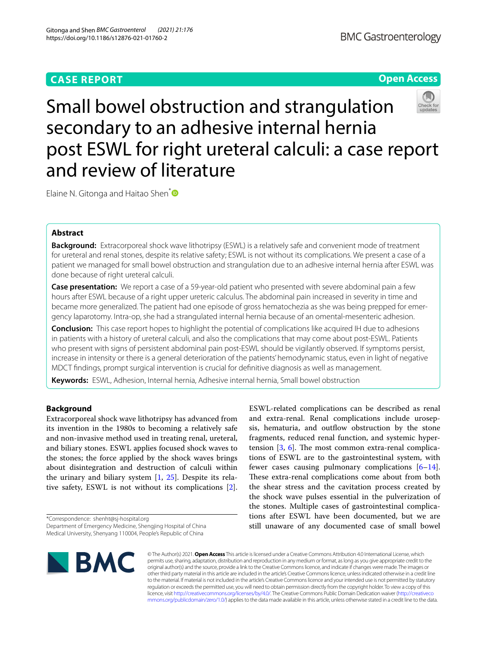# **CASE REPORT**

## **Open Access**

Small bowel obstruction and strangulation secondary to an adhesive internal hernia post ESWL for right ureteral calculi: a case report and review of literature

Elaine N. Gitonga and Haitao Shen<sup>[\\*](http://orcid.org/0000-0002-0533-0872)</sup>

## **Abstract**

**Background:** Extracorporeal shock wave lithotripsy (ESWL) is a relatively safe and convenient mode of treatment for ureteral and renal stones, despite its relative safety; ESWL is not without its complications. We present a case of a patient we managed for small bowel obstruction and strangulation due to an adhesive internal hernia after ESWL was done because of right ureteral calculi.

**Case presentation:** We report a case of a 59-year-old patient who presented with severe abdominal pain a few hours after ESWL because of a right upper ureteric calculus. The abdominal pain increased in severity in time and became more generalized. The patient had one episode of gross hematochezia as she was being prepped for emergency laparotomy. Intra-op, she had a strangulated internal hernia because of an omental-mesenteric adhesion.

**Conclusion:** This case report hopes to highlight the potential of complications like acquired IH due to adhesions in patients with a history of ureteral calculi, and also the complications that may come about post-ESWL. Patients who present with signs of persistent abdominal pain post-ESWL should be vigilantly observed. If symptoms persist, increase in intensity or there is a general deterioration of the patients' hemodynamic status, even in light of negative MDCT fndings, prompt surgical intervention is crucial for defnitive diagnosis as well as management.

**Keywords:** ESWL, Adhesion, Internal hernia, Adhesive internal hernia, Small bowel obstruction

## **Background**

Extracorporeal shock wave lithotripsy has advanced from its invention in the 1980s to becoming a relatively safe and non-invasive method used in treating renal, ureteral, and biliary stones. ESWL applies focused shock waves to the stones; the force applied by the shock waves brings about disintegration and destruction of calculi within the urinary and biliary system  $\left[1, 25\right]$  $\left[1, 25\right]$  $\left[1, 25\right]$  $\left[1, 25\right]$  $\left[1, 25\right]$ . Despite its relative safety, ESWL is not without its complications [\[2](#page-3-2)].

\*Correspondence: shenht@sj-hospital.org Department of Emergency Medicine, Shengjing Hospital of China

ESWL-related complications can be described as renal and extra-renal. Renal complications include urosepsis, hematuria, and outflow obstruction by the stone fragments, reduced renal function, and systemic hypertension  $[3, 6]$  $[3, 6]$  $[3, 6]$  $[3, 6]$  $[3, 6]$ . The most common extra-renal complications of ESWL are to the gastrointestinal system, with fewer cases causing pulmonary complications  $[6-14]$  $[6-14]$ . These extra-renal complications come about from both the shear stress and the cavitation process created by the shock wave pulses essential in the pulverization of the stones. Multiple cases of gastrointestinal complications after ESWL have been documented, but we are still unaware of any documented case of small bowel



© The Author(s) 2021. **Open Access** This article is licensed under a Creative Commons Attribution 4.0 International License, which permits use, sharing, adaptation, distribution and reproduction in any medium or format, as long as you give appropriate credit to the original author(s) and the source, provide a link to the Creative Commons licence, and indicate if changes were made. The images or other third party material in this article are included in the article's Creative Commons licence, unless indicated otherwise in a credit line to the material. If material is not included in the article's Creative Commons licence and your intended use is not permitted by statutory regulation or exceeds the permitted use, you will need to obtain permission directly from the copyright holder. To view a copy of this licence, visit [http://creativecommons.org/licenses/by/4.0/.](http://creativecommons.org/licenses/by/4.0/) The Creative Commons Public Domain Dedication waiver ([http://creativeco](http://creativecommons.org/publicdomain/zero/1.0/) [mmons.org/publicdomain/zero/1.0/](http://creativecommons.org/publicdomain/zero/1.0/)) applies to the data made available in this article, unless otherwise stated in a credit line to the data.

Medical University, Shenyang 110004, People's Republic of China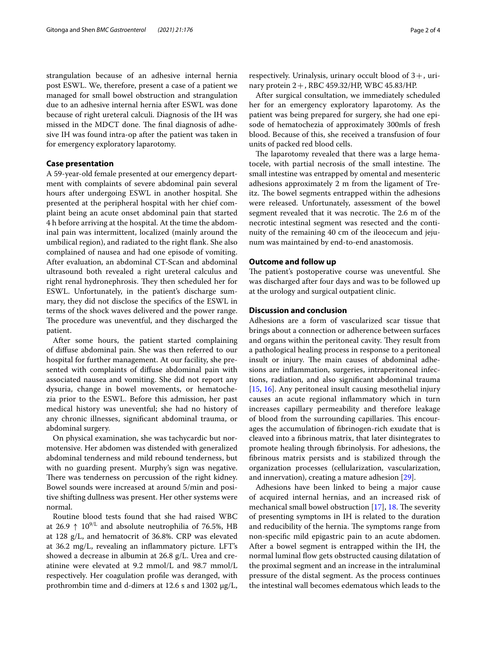strangulation because of an adhesive internal hernia post ESWL. We, therefore, present a case of a patient we managed for small bowel obstruction and strangulation due to an adhesive internal hernia after ESWL was done because of right ureteral calculi. Diagnosis of the IH was missed in the MDCT done. The final diagnosis of adhesive IH was found intra-op after the patient was taken in for emergency exploratory laparotomy.

## **Case presentation**

A 59-year-old female presented at our emergency department with complaints of severe abdominal pain several hours after undergoing ESWL in another hospital. She presented at the peripheral hospital with her chief complaint being an acute onset abdominal pain that started 4 h before arriving at the hospital. At the time the abdominal pain was intermittent, localized (mainly around the umbilical region), and radiated to the right fank. She also complained of nausea and had one episode of vomiting. After evaluation, an abdominal CT-Scan and abdominal ultrasound both revealed a right ureteral calculus and right renal hydronephrosis. They then scheduled her for ESWL. Unfortunately, in the patient's discharge summary, they did not disclose the specifcs of the ESWL in terms of the shock waves delivered and the power range. The procedure was uneventful, and they discharged the patient.

After some hours, the patient started complaining of difuse abdominal pain. She was then referred to our hospital for further management. At our facility, she presented with complaints of difuse abdominal pain with associated nausea and vomiting. She did not report any dysuria, change in bowel movements, or hematochezia prior to the ESWL. Before this admission, her past medical history was uneventful; she had no history of any chronic illnesses, signifcant abdominal trauma, or abdominal surgery.

On physical examination, she was tachycardic but normotensive. Her abdomen was distended with generalized abdominal tenderness and mild rebound tenderness, but with no guarding present. Murphy's sign was negative. There was tenderness on percussion of the right kidney. Bowel sounds were increased at around 5/min and positive shifting dullness was present. Her other systems were normal.

Routine blood tests found that she had raised WBC at 26.9  $\uparrow$  10<sup>9/L</sup> and absolute neutrophilia of 76.5%, HB at 128 g/L, and hematocrit of 36.8%. CRP was elevated at 36.2 mg/L, revealing an infammatory picture. LFT's showed a decrease in albumin at 26.8 g/L. Urea and creatinine were elevated at 9.2 mmol/L and 98.7 mmol/L respectively. Her coagulation profle was deranged, with prothrombin time and d-dimers at 12.6 s and 1302 μg/L, respectively. Urinalysis, urinary occult blood of  $3+$ , urinary protein  $2+$ , RBC 459.32/HP, WBC 45.83/HP.

After surgical consultation, we immediately scheduled her for an emergency exploratory laparotomy. As the patient was being prepared for surgery, she had one episode of hematochezia of approximately 300mls of fresh blood. Because of this, she received a transfusion of four units of packed red blood cells.

The laparotomy revealed that there was a large hematocele, with partial necrosis of the small intestine. The small intestine was entrapped by omental and mesenteric adhesions approximately 2 m from the ligament of Treitz. The bowel segments entrapped within the adhesions were released. Unfortunately, assessment of the bowel segment revealed that it was necrotic. The 2.6 m of the necrotic intestinal segment was resected and the continuity of the remaining 40 cm of the ileocecum and jejunum was maintained by end-to-end anastomosis.

### **Outcome and follow up**

The patient's postoperative course was uneventful. She was discharged after four days and was to be followed up at the urology and surgical outpatient clinic.

## **Discussion and conclusion**

Adhesions are a form of vascularized scar tissue that brings about a connection or adherence between surfaces and organs within the peritoneal cavity. They result from a pathological healing process in response to a peritoneal insult or injury. The main causes of abdominal adhesions are infammation, surgeries, intraperitoneal infections, radiation, and also signifcant abdominal trauma [[15,](#page-3-6) [16\]](#page-3-7). Any peritoneal insult causing mesothelial injury causes an acute regional infammatory which in turn increases capillary permeability and therefore leakage of blood from the surrounding capillaries. This encourages the accumulation of fbrinogen-rich exudate that is cleaved into a fbrinous matrix, that later disintegrates to promote healing through fbrinolysis. For adhesions, the fbrinous matrix persists and is stabilized through the organization processes (cellularization, vascularization, and innervation), creating a mature adhesion [\[29](#page-3-8)].

Adhesions have been linked to being a major cause of acquired internal hernias, and an increased risk of mechanical small bowel obstruction  $[17]$  $[17]$ , [18.](#page-3-10) The severity of presenting symptoms in IH is related to the duration and reducibility of the hernia. The symptoms range from non-specifc mild epigastric pain to an acute abdomen. After a bowel segment is entrapped within the IH, the normal luminal fow gets obstructed causing dilatation of the proximal segment and an increase in the intraluminal pressure of the distal segment. As the process continues the intestinal wall becomes edematous which leads to the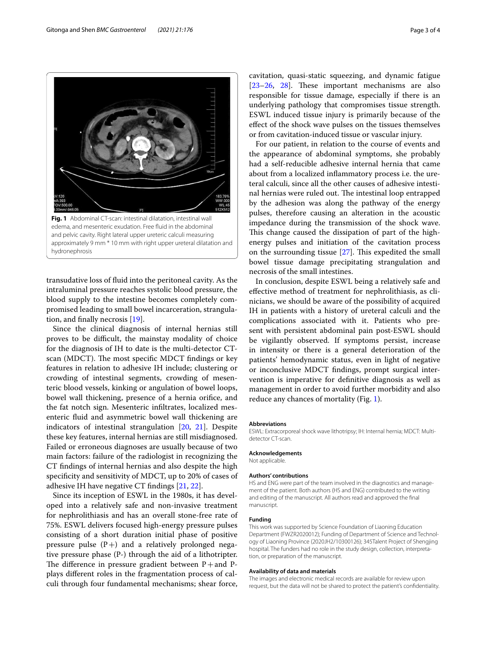<span id="page-2-0"></span>transudative loss of fuid into the peritoneal cavity. As the intraluminal pressure reaches systolic blood pressure, the blood supply to the intestine becomes completely compromised leading to small bowel incarceration, strangulation, and fnally necrosis [[19](#page-3-11)].

Since the clinical diagnosis of internal hernias still proves to be difficult, the mainstay modality of choice for the diagnosis of IH to date is the multi-detector CTscan (MDCT). The most specific MDCT findings or key features in relation to adhesive IH include; clustering or crowding of intestinal segments, crowding of mesenteric blood vessels, kinking or angulation of bowel loops, bowel wall thickening, presence of a hernia orifce, and the fat notch sign. Mesenteric infltrates, localized mesenteric fuid and asymmetric bowel wall thickening are indicators of intestinal strangulation [[20,](#page-3-12) [21\]](#page-3-13). Despite these key features, internal hernias are still misdiagnosed. Failed or erroneous diagnoses are usually because of two main factors: failure of the radiologist in recognizing the CT fndings of internal hernias and also despite the high specifcity and sensitivity of MDCT, up to 20% of cases of adhesive IH have negative CT fndings [[21,](#page-3-13) [22\]](#page-3-14).

Since its inception of ESWL in the 1980s, it has developed into a relatively safe and non-invasive treatment for nephrolithiasis and has an overall stone-free rate of 75%. ESWL delivers focused high-energy pressure pulses consisting of a short duration initial phase of positive pressure pulse  $(P+)$  and a relatively prolonged negative pressure phase (P-) through the aid of a lithotripter. The difference in pressure gradient between  $P+$ and Pplays diferent roles in the fragmentation process of calculi through four fundamental mechanisms; shear force,

cavitation, quasi-static squeezing, and dynamic fatigue  $[23-26, 28]$  $[23-26, 28]$  $[23-26, 28]$  $[23-26, 28]$ . These important mechanisms are also responsible for tissue damage, especially if there is an underlying pathology that compromises tissue strength. ESWL induced tissue injury is primarily because of the efect of the shock wave pulses on the tissues themselves or from cavitation-induced tissue or vascular injury.

For our patient, in relation to the course of events and the appearance of abdominal symptoms, she probably had a self-reducible adhesive internal hernia that came about from a localized infammatory process i.e. the ureteral calculi, since all the other causes of adhesive intestinal hernias were ruled out. The intestinal loop entrapped by the adhesion was along the pathway of the energy pulses, therefore causing an alteration in the acoustic impedance during the transmission of the shock wave. This change caused the dissipation of part of the highenergy pulses and initiation of the cavitation process on the surrounding tissue  $[27]$  $[27]$ . This expedited the small bowel tissue damage precipitating strangulation and necrosis of the small intestines.

In conclusion, despite ESWL being a relatively safe and efective method of treatment for nephrolithiasis, as clinicians, we should be aware of the possibility of acquired IH in patients with a history of ureteral calculi and the complications associated with it. Patients who present with persistent abdominal pain post-ESWL should be vigilantly observed. If symptoms persist, increase in intensity or there is a general deterioration of the patients' hemodynamic status, even in light of negative or inconclusive MDCT fndings, prompt surgical intervention is imperative for defnitive diagnosis as well as management in order to avoid further morbidity and also reduce any chances of mortality (Fig. [1\)](#page-2-0).

#### **Abbreviations**

ESWL: Extracorporeal shock wave lithotripsy; IH: Internal hernia; MDCT: Multidetector CT-scan.

#### **Acknowledgements**

Not applicable.

#### **Authors' contributions**

HS and ENG were part of the team involved in the diagnostics and management of the patient. Both authors (HS and ENG) contributed to the writing and editing of the manuscript. All authors read and approved the fnal manuscript.

#### **Funding**

This work was supported by Science Foundation of Liaoning Education Department (FWZR2020012); Funding of Department of Science and Technology of Liaoning Province (2020JH2/10300126); 345Talent Project of Shengjing hospital. The funders had no role in the study design, collection, interpretation, or preparation of the manuscript.

#### **Availability of data and materials**

The images and electronic medical records are available for review upon request, but the data will not be shared to protect the patient's confdentiality.